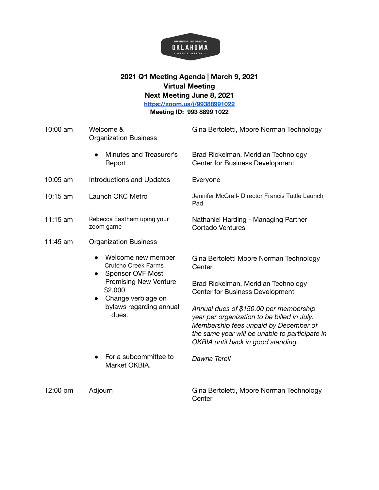

## **2021 Q1 Meeting Agenda | March 9, 2021 Virtual Meeting Next Meeting June 8, 2021 <https://zoom.us/j/99388991022>**

**Meeting ID: 993 8899 1022**

| 10:00 am   | Welcome &<br><b>Organization Business</b>                                   | Gina Bertoletti, Moore Norman Technology                                                                                                                                                                               |
|------------|-----------------------------------------------------------------------------|------------------------------------------------------------------------------------------------------------------------------------------------------------------------------------------------------------------------|
|            | Minutes and Treasurer's<br>Report                                           | Brad Rickelman, Meridian Technology<br><b>Center for Business Development</b>                                                                                                                                          |
| 10:05 am   | <b>Introductions and Updates</b>                                            | Everyone                                                                                                                                                                                                               |
| $10:15$ am | Launch OKC Metro                                                            | Jennifer McGrail- Director Francis Tuttle Launch<br>Pad                                                                                                                                                                |
| 11:15 am   | Rebecca Eastham uping your<br>zoom game                                     | Nathaniel Harding - Managing Partner<br><b>Cortado Ventures</b>                                                                                                                                                        |
| 11:45 am   | <b>Organization Business</b>                                                |                                                                                                                                                                                                                        |
|            | Welcome new member<br><b>Crutcho Creek Farms</b><br><b>Sponsor OVF Most</b> | Gina Bertoletti Moore Norman Technology<br>Center                                                                                                                                                                      |
|            | <b>Promising New Venture</b><br>\$2,000<br>Change verbiage on               | Brad Rickelman, Meridian Technology<br><b>Center for Business Development</b>                                                                                                                                          |
|            | bylaws regarding annual<br>dues.                                            | Annual dues of \$150.00 per membership<br>year per organization to be billed in July.<br>Membership fees unpaid by December of<br>the same year will be unable to participate in<br>OKBIA until back in good standing. |
|            | For a subcommittee to<br>Market OKBIA.                                      | Dawna Terell                                                                                                                                                                                                           |
| 12:00 pm   | Adjourn                                                                     | Gina Bertoletti, Moore Norman Technology<br>Center                                                                                                                                                                     |